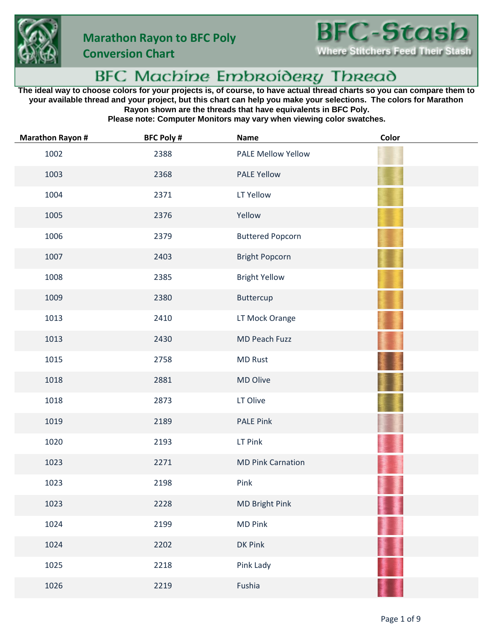

**Conversion Chart**

## BFC Machine Embroidery Thread

**The ideal way to choose colors for your projects is, of course, to have actual thread charts so you can compare them to your available thread and your project, but this chart can help you make your selections. The colors for Marathon Rayon shown are the threads that have equivalents in BFC Poly.**

**Please note: Computer Monitors may vary when viewing color swatches.**

| <b>Marathon Rayon #</b> | <b>BFC Poly #</b> | <b>Name</b>               | Color |
|-------------------------|-------------------|---------------------------|-------|
| 1002                    | 2388              | <b>PALE Mellow Yellow</b> |       |
| 1003                    | 2368              | <b>PALE Yellow</b>        |       |
| 1004                    | 2371              | LT Yellow                 |       |
| 1005                    | 2376              | Yellow                    |       |
| 1006                    | 2379              | <b>Buttered Popcorn</b>   |       |
| 1007                    | 2403              | <b>Bright Popcorn</b>     |       |
| 1008                    | 2385              | <b>Bright Yellow</b>      |       |
| 1009                    | 2380              | Buttercup                 |       |
| 1013                    | 2410              | LT Mock Orange            |       |
| 1013                    | 2430              | MD Peach Fuzz             |       |
| 1015                    | 2758              | <b>MD Rust</b>            |       |
| 1018                    | 2881              | MD Olive                  |       |
| 1018                    | 2873              | LT Olive                  |       |
| 1019                    | 2189              | <b>PALE Pink</b>          |       |
| 1020                    | 2193              | LT Pink                   |       |
| 1023                    | 2271              | <b>MD Pink Carnation</b>  |       |
| 1023                    | 2198              | Pink                      |       |
| 1023                    | 2228              | <b>MD Bright Pink</b>     |       |
| 1024                    | 2199              | <b>MD Pink</b>            |       |
| 1024                    | 2202              | <b>DK Pink</b>            |       |
| 1025                    | 2218              | Pink Lady                 |       |
| 1026                    | 2219              | Fushia                    |       |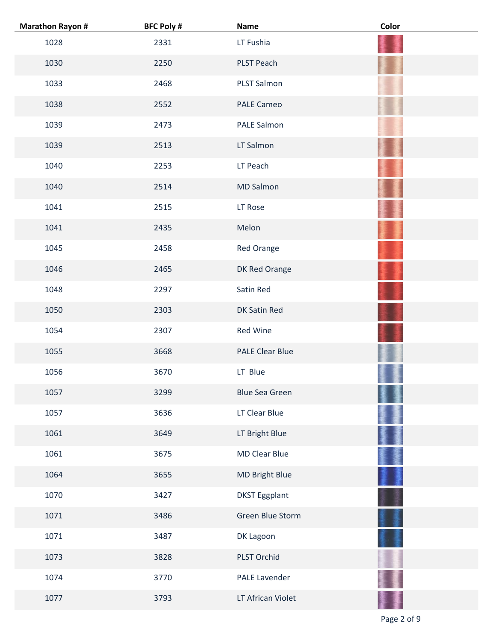| <b>Marathon Rayon #</b> | <b>BFC Poly #</b> | <b>Name</b>            | Color |
|-------------------------|-------------------|------------------------|-------|
| 1028                    | 2331              | LT Fushia              |       |
| 1030                    | 2250              | PLST Peach             |       |
| 1033                    | 2468              | PLST Salmon            |       |
| 1038                    | 2552              | <b>PALE Cameo</b>      |       |
| 1039                    | 2473              | PALE Salmon            |       |
| 1039                    | 2513              | LT Salmon              |       |
| 1040                    | 2253              | LT Peach               |       |
| 1040                    | 2514              | <b>MD Salmon</b>       |       |
| 1041                    | 2515              | LT Rose                |       |
| 1041                    | 2435              | Melon                  |       |
| 1045                    | 2458              | Red Orange             |       |
| 1046                    | 2465              | DK Red Orange          |       |
| 1048                    | 2297              | Satin Red              |       |
| 1050                    | 2303              | DK Satin Red           |       |
| 1054                    | 2307              | Red Wine               |       |
| 1055                    | 3668              | <b>PALE Clear Blue</b> |       |
| 1056                    | 3670              | LT Blue                |       |
| 1057                    | 3299              | <b>Blue Sea Green</b>  |       |
| 1057                    | 3636              | LT Clear Blue          |       |
| 1061                    | 3649              | LT Bright Blue         |       |
| 1061                    | 3675              | <b>MD Clear Blue</b>   |       |
| 1064                    | 3655              | MD Bright Blue         |       |
| 1070                    | 3427              | <b>DKST Eggplant</b>   |       |
| 1071                    | 3486              | Green Blue Storm       |       |
| 1071                    | 3487              | DK Lagoon              |       |
| 1073                    | 3828              | PLST Orchid            |       |
| 1074                    | 3770              | PALE Lavender          |       |
| 1077                    | 3793              | LT African Violet      |       |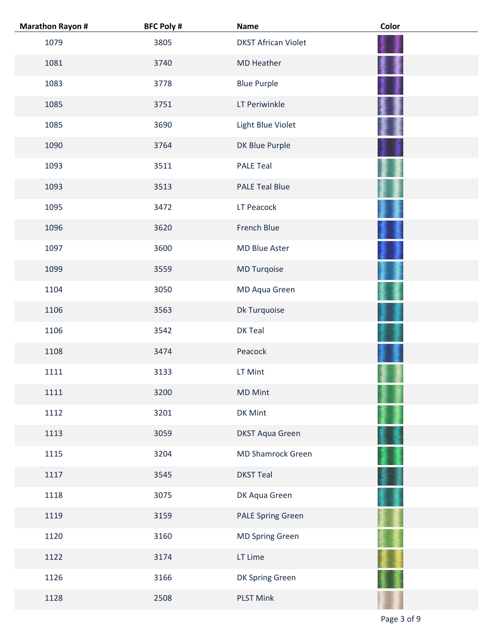| <b>Marathon Rayon #</b> | <b>BFC Poly #</b> | <b>Name</b>                | Color |
|-------------------------|-------------------|----------------------------|-------|
| 1079                    | 3805              | <b>DKST African Violet</b> |       |
| 1081                    | 3740              | <b>MD Heather</b>          |       |
| 1083                    | 3778              | <b>Blue Purple</b>         |       |
| 1085                    | 3751              | LT Periwinkle              |       |
| 1085                    | 3690              | Light Blue Violet          |       |
| 1090                    | 3764              | DK Blue Purple             |       |
| 1093                    | 3511              | <b>PALE Teal</b>           |       |
| 1093                    | 3513              | <b>PALE Teal Blue</b>      |       |
| 1095                    | 3472              | LT Peacock                 |       |
| 1096                    | 3620              | French Blue                |       |
| 1097                    | 3600              | MD Blue Aster              |       |
| 1099                    | 3559              | <b>MD Turqoise</b>         |       |
| 1104                    | 3050              | MD Aqua Green              |       |
| 1106                    | 3563              | Dk Turquoise               |       |
| 1106                    | 3542              | DK Teal                    |       |
| 1108                    | 3474              | Peacock                    |       |
| 1111                    | 3133              | LT Mint                    |       |
| 1111                    | 3200              | <b>MD Mint</b>             |       |
| 1112                    | 3201              | DK Mint                    |       |
| 1113                    | 3059              | <b>DKST Aqua Green</b>     |       |
| 1115                    | 3204              | MD Shamrock Green          |       |
| 1117                    | 3545              | <b>DKST Teal</b>           |       |
| 1118                    | 3075              | DK Aqua Green              |       |
| 1119                    | 3159              | <b>PALE Spring Green</b>   |       |
| 1120                    | 3160              | <b>MD Spring Green</b>     |       |
| 1122                    | 3174              | LT Lime                    |       |
| 1126                    | 3166              | DK Spring Green            |       |
| 1128                    | 2508              | <b>PLST Mink</b>           |       |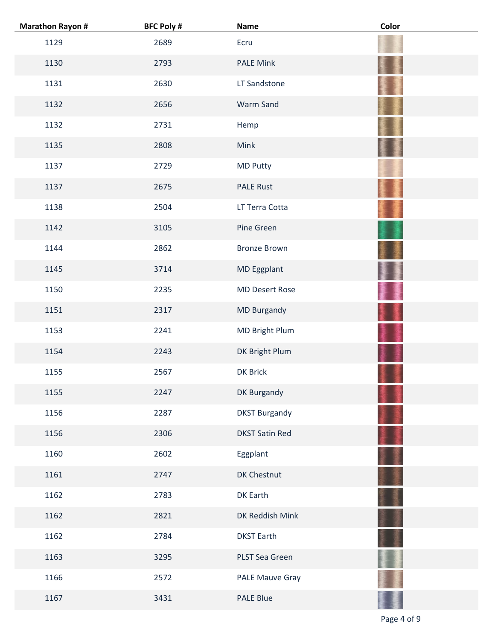| <b>Marathon Rayon #</b> | <b>BFC Poly #</b> | <b>Name</b>           | Color |
|-------------------------|-------------------|-----------------------|-------|
| 1129                    | 2689              | Ecru                  |       |
| 1130                    | 2793              | <b>PALE Mink</b>      |       |
| 1131                    | 2630              | LT Sandstone          |       |
| 1132                    | 2656              | Warm Sand             |       |
| 1132                    | 2731              | Hemp                  |       |
| 1135                    | 2808              | Mink                  |       |
| 1137                    | 2729              | <b>MD Putty</b>       |       |
| 1137                    | 2675              | <b>PALE Rust</b>      |       |
| 1138                    | 2504              | LT Terra Cotta        |       |
| 1142                    | 3105              | Pine Green            |       |
| 1144                    | 2862              | <b>Bronze Brown</b>   |       |
| 1145                    | 3714              | MD Eggplant           |       |
| 1150                    | 2235              | <b>MD Desert Rose</b> |       |
| 1151                    | 2317              | MD Burgandy           |       |
| 1153                    | 2241              | MD Bright Plum        |       |
| 1154                    | 2243              | DK Bright Plum        |       |
| 1155                    | 2567              | DK Brick              |       |
| 1155                    | 2247              | DK Burgandy           |       |
| 1156                    | 2287              | <b>DKST Burgandy</b>  |       |
| 1156                    | 2306              | <b>DKST Satin Red</b> |       |
| 1160                    | 2602              | Eggplant              |       |
| 1161                    | 2747              | DK Chestnut           |       |
| 1162                    | 2783              | DK Earth              |       |
| 1162                    | 2821              | DK Reddish Mink       |       |
| 1162                    | 2784              | <b>DKST Earth</b>     |       |
| 1163                    | 3295              | PLST Sea Green        |       |
| 1166                    | 2572              | PALE Mauve Gray       |       |
| 1167                    | 3431              | PALE Blue             |       |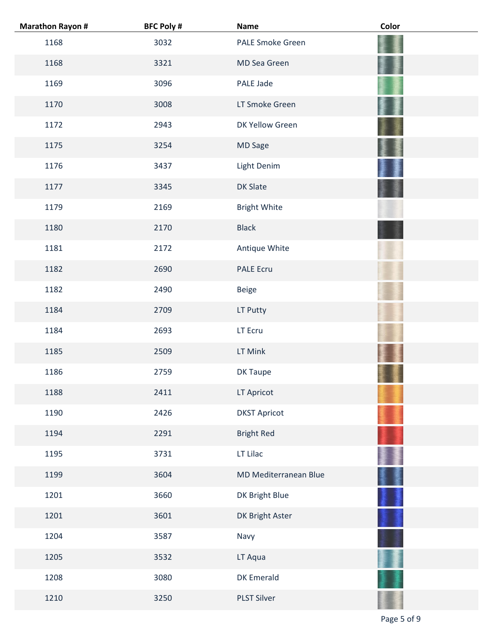| <b>Marathon Rayon #</b> | <b>BFC Poly #</b> | <b>Name</b>           | Color |
|-------------------------|-------------------|-----------------------|-------|
| 1168                    | 3032              | PALE Smoke Green      |       |
| 1168                    | 3321              | MD Sea Green          |       |
| 1169                    | 3096              | PALE Jade             |       |
| 1170                    | 3008              | LT Smoke Green        |       |
| 1172                    | 2943              | DK Yellow Green       |       |
| 1175                    | 3254              | MD Sage               |       |
| 1176                    | 3437              | Light Denim           |       |
| 1177                    | 3345              | <b>DK Slate</b>       |       |
| 1179                    | 2169              | <b>Bright White</b>   |       |
| 1180                    | 2170              | <b>Black</b>          |       |
| 1181                    | 2172              | Antique White         |       |
| 1182                    | 2690              | PALE Ecru             |       |
| 1182                    | 2490              | Beige                 |       |
| 1184                    | 2709              | LT Putty              |       |
| 1184                    | 2693              | LT Ecru               |       |
| 1185                    | 2509              | LT Mink               |       |
| 1186                    | 2759              | <b>DK Taupe</b>       |       |
| 1188                    | 2411              | LT Apricot            |       |
| 1190                    | 2426              | <b>DKST Apricot</b>   |       |
| 1194                    | 2291              | <b>Bright Red</b>     |       |
| 1195                    | 3731              | LT Lilac              |       |
| 1199                    | 3604              | MD Mediterranean Blue |       |
| 1201                    | 3660              | DK Bright Blue        |       |
| 1201                    | 3601              | DK Bright Aster       |       |
| 1204                    | 3587              | Navy                  |       |
| 1205                    | 3532              | LT Aqua               |       |
| 1208                    | 3080              | DK Emerald            |       |
| 1210                    | 3250              | <b>PLST Silver</b>    |       |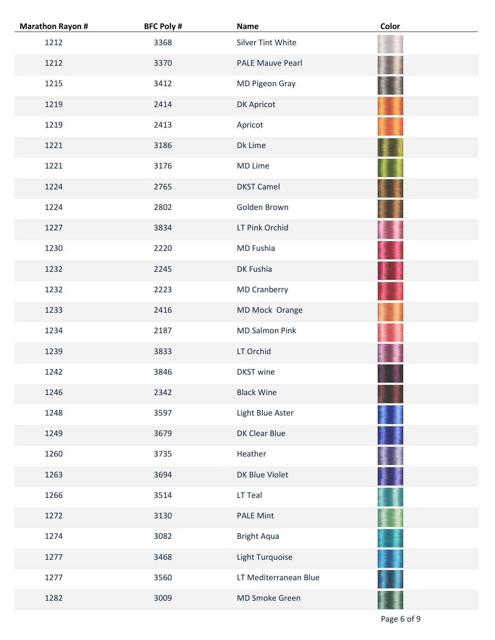| <b>Marathon Rayon #</b> | <b>BFC Poly #</b> | <b>Name</b>             | Color |
|-------------------------|-------------------|-------------------------|-------|
| 1212                    | 3368              | Silver Tint White       |       |
| 1212                    | 3370              | <b>PALE Mauve Pearl</b> |       |
| 1215                    | 3412              | MD Pigeon Gray          |       |
| 1219                    | 2414              | <b>DK Apricot</b>       |       |
| 1219                    | 2413              | Apricot                 |       |
| 1221                    | 3186              | Dk Lime                 |       |
| 1221                    | 3176              | <b>MD Lime</b>          |       |
| 1224                    | 2765              | <b>DKST Camel</b>       |       |
| 1224                    | 2802              | Golden Brown            |       |
| 1227                    | 3834              | LT Pink Orchid          |       |
| 1230                    | 2220              | MD Fushia               |       |
| 1232                    | 2245              | DK Fushia               |       |
| 1232                    | 2223              | <b>MD Cranberry</b>     |       |
| 1233                    | 2416              | MD Mock Orange          |       |
| 1234                    | 2187              | <b>MD Salmon Pink</b>   |       |
| 1239                    | 3833              | LT Orchid               |       |
| 1242                    | 3846              | <b>DKST</b> wine        |       |
| 1246                    | 2342              | <b>Black Wine</b>       |       |
| 1248                    | 3597              | Light Blue Aster        |       |
| 1249                    | 3679              | DK Clear Blue           |       |
| 1260                    | 3735              | Heather                 |       |
| 1263                    | 3694              | DK Blue Violet          |       |
| 1266                    | 3514              | LT Teal                 |       |
| 1272                    | 3130              | <b>PALE Mint</b>        |       |
| 1274                    | 3082              | <b>Bright Aqua</b>      |       |
| 1277                    | 3468              | Light Turquoise         |       |
| 1277                    | 3560              | LT Mediterranean Blue   |       |
| 1282                    | 3009              | MD Smoke Green          |       |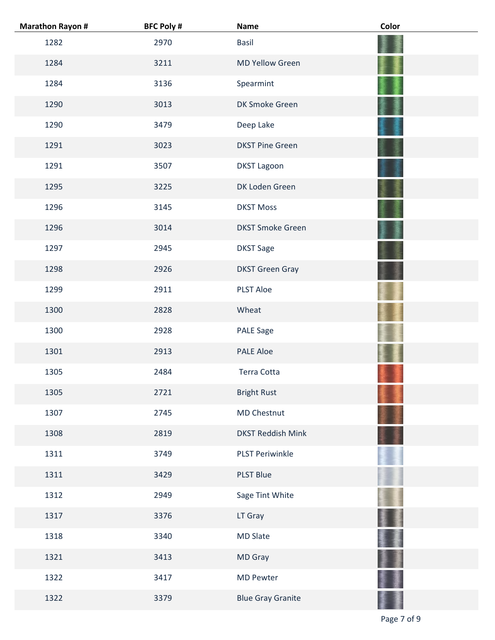| <b>Marathon Rayon #</b> | <b>BFC Poly #</b> | <b>Name</b>              | Color |
|-------------------------|-------------------|--------------------------|-------|
| 1282                    | 2970              | <b>Basil</b>             |       |
| 1284                    | 3211              | <b>MD Yellow Green</b>   |       |
| 1284                    | 3136              | Spearmint                |       |
| 1290                    | 3013              | DK Smoke Green           |       |
| 1290                    | 3479              | Deep Lake                |       |
| 1291                    | 3023              | <b>DKST Pine Green</b>   |       |
| 1291                    | 3507              | <b>DKST Lagoon</b>       |       |
| 1295                    | 3225              | DK Loden Green           |       |
| 1296                    | 3145              | <b>DKST Moss</b>         |       |
| 1296                    | 3014              | <b>DKST Smoke Green</b>  |       |
| 1297                    | 2945              | <b>DKST Sage</b>         |       |
| 1298                    | 2926              | <b>DKST Green Gray</b>   |       |
| 1299                    | 2911              | <b>PLST Aloe</b>         |       |
| 1300                    | 2828              | Wheat                    |       |
| 1300                    | 2928              | <b>PALE Sage</b>         |       |
| 1301                    | 2913              | <b>PALE Aloe</b>         |       |
| 1305                    | 2484              | Terra Cotta              |       |
| 1305                    | 2721              | <b>Bright Rust</b>       |       |
| 1307                    | 2745              | MD Chestnut              |       |
| 1308                    | 2819              | <b>DKST Reddish Mink</b> |       |
| 1311                    | 3749              | <b>PLST Periwinkle</b>   |       |
| 1311                    | 3429              | <b>PLST Blue</b>         |       |
| 1312                    | 2949              | Sage Tint White          |       |
| 1317                    | 3376              | LT Gray                  |       |
| 1318                    | 3340              | <b>MD Slate</b>          |       |
| 1321                    | 3413              | MD Gray                  |       |
| 1322                    | 3417              | <b>MD Pewter</b>         |       |
| 1322                    | 3379              | <b>Blue Gray Granite</b> |       |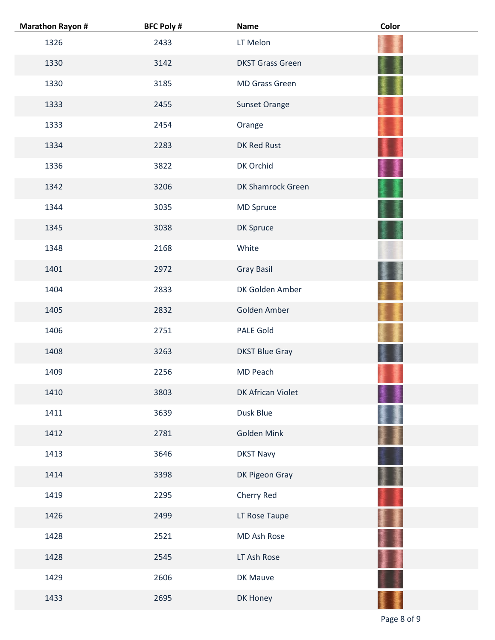| <b>Marathon Rayon #</b> | <b>BFC Poly #</b> | <b>Name</b>              | Color |
|-------------------------|-------------------|--------------------------|-------|
| 1326                    | 2433              | LT Melon                 |       |
| 1330                    | 3142              | <b>DKST Grass Green</b>  |       |
| 1330                    | 3185              | <b>MD Grass Green</b>    |       |
| 1333                    | 2455              | <b>Sunset Orange</b>     |       |
| 1333                    | 2454              | Orange                   |       |
| 1334                    | 2283              | DK Red Rust              |       |
| 1336                    | 3822              | DK Orchid                |       |
| 1342                    | 3206              | <b>DK Shamrock Green</b> |       |
| 1344                    | 3035              | MD Spruce                |       |
| 1345                    | 3038              | DK Spruce                |       |
| 1348                    | 2168              | White                    |       |
| 1401                    | 2972              | <b>Gray Basil</b>        |       |
| 1404                    | 2833              | DK Golden Amber          |       |
| 1405                    | 2832              | Golden Amber             |       |
| 1406                    | 2751              | <b>PALE Gold</b>         |       |
| 1408                    | 3263              | <b>DKST Blue Gray</b>    |       |
| 1409                    | 2256              | MD Peach                 |       |
| 1410                    | 3803              | DK African Violet        |       |
| 1411                    | 3639              | Dusk Blue                |       |
| 1412                    | 2781              | Golden Mink              |       |
| 1413                    | 3646              | <b>DKST Navy</b>         |       |
| 1414                    | 3398              | DK Pigeon Gray           |       |
| 1419                    | 2295              | Cherry Red               |       |
| 1426                    | 2499              | LT Rose Taupe            |       |
| 1428                    | 2521              | MD Ash Rose              |       |
| 1428                    | 2545              | LT Ash Rose              |       |
| 1429                    | 2606              | DK Mauve                 |       |
| 1433                    | 2695              | DK Honey                 |       |